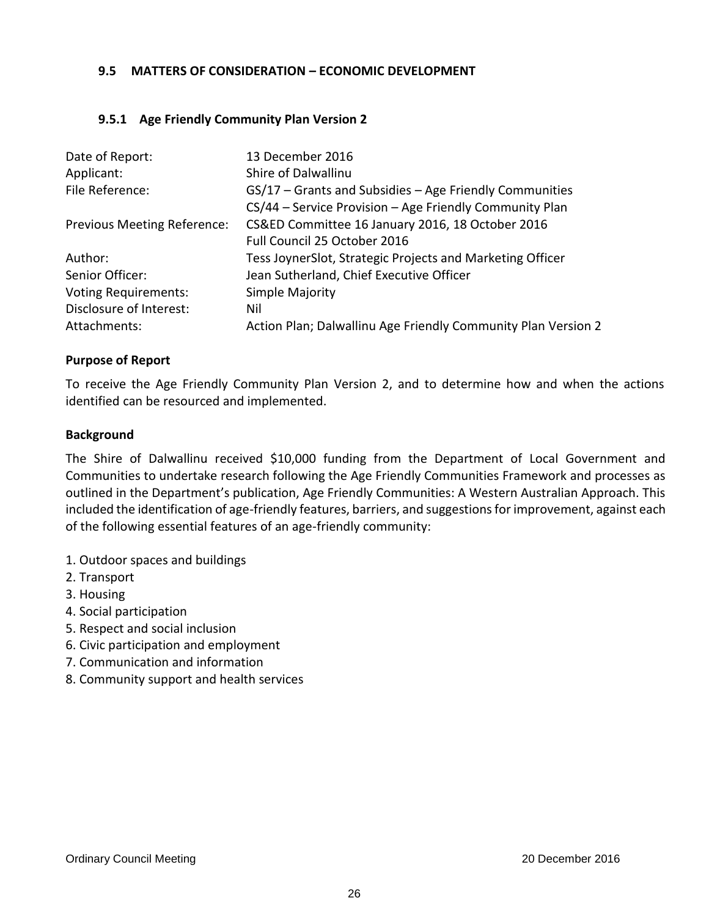## **9.5 MATTERS OF CONSIDERATION – ECONOMIC DEVELOPMENT**

## **9.5.1 Age Friendly Community Plan Version 2**

| Date of Report:                    | 13 December 2016                                              |
|------------------------------------|---------------------------------------------------------------|
| Applicant:                         | Shire of Dalwallinu                                           |
| File Reference:                    | GS/17 – Grants and Subsidies – Age Friendly Communities       |
|                                    | CS/44 - Service Provision - Age Friendly Community Plan       |
| <b>Previous Meeting Reference:</b> | CS&ED Committee 16 January 2016, 18 October 2016              |
|                                    | Full Council 25 October 2016                                  |
| Author:                            | Tess JoynerSlot, Strategic Projects and Marketing Officer     |
| Senior Officer:                    | Jean Sutherland, Chief Executive Officer                      |
| <b>Voting Requirements:</b>        | Simple Majority                                               |
| Disclosure of Interest:            | Nil                                                           |
| Attachments:                       | Action Plan; Dalwallinu Age Friendly Community Plan Version 2 |

#### **Purpose of Report**

To receive the Age Friendly Community Plan Version 2, and to determine how and when the actions identified can be resourced and implemented.

### **Background**

The Shire of Dalwallinu received \$10,000 funding from the Department of Local Government and Communities to undertake research following the Age Friendly Communities Framework and processes as outlined in the Department's publication, Age Friendly Communities: A Western Australian Approach. This included the identification of age-friendly features, barriers, and suggestions for improvement, against each of the following essential features of an age-friendly community:

- 1. Outdoor spaces and buildings
- 2. Transport
- 3. Housing
- 4. Social participation
- 5. Respect and social inclusion
- 6. Civic participation and employment
- 7. Communication and information
- 8. Community support and health services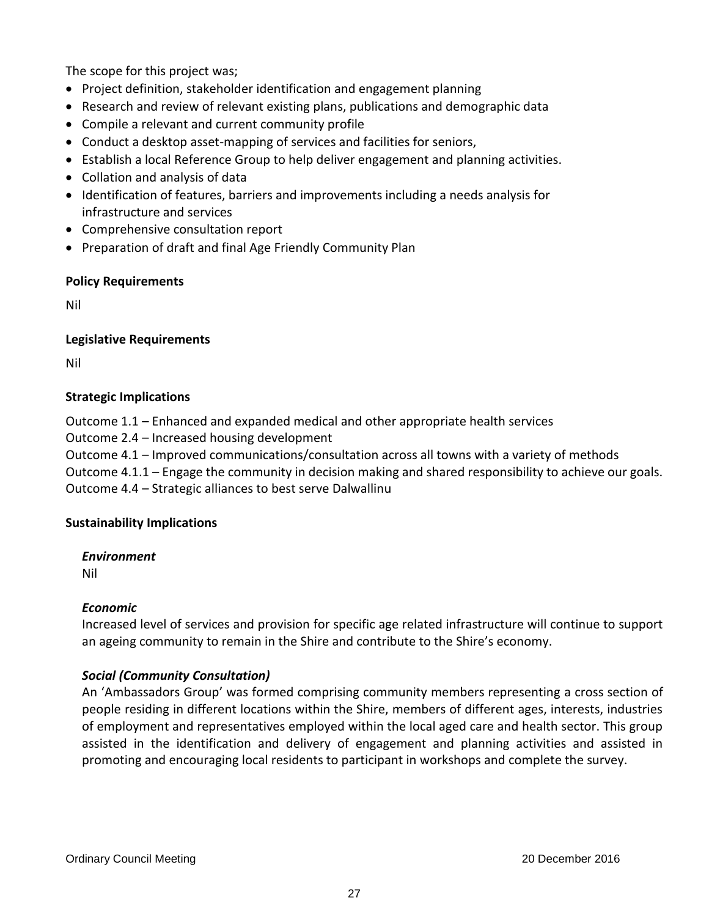The scope for this project was;

- Project definition, stakeholder identification and engagement planning
- Research and review of relevant existing plans, publications and demographic data
- Compile a relevant and current community profile
- Conduct a desktop asset-mapping of services and facilities for seniors,
- Establish a local Reference Group to help deliver engagement and planning activities.
- Collation and analysis of data
- Identification of features, barriers and improvements including a needs analysis for infrastructure and services
- Comprehensive consultation report
- Preparation of draft and final Age Friendly Community Plan

### **Policy Requirements**

Nil

## **Legislative Requirements**

Nil

## **Strategic Implications**

Outcome 1.1 – Enhanced and expanded medical and other appropriate health services

Outcome 2.4 – Increased housing development

Outcome 4.1 – Improved communications/consultation across all towns with a variety of methods

Outcome 4.1.1 – Engage the community in decision making and shared responsibility to achieve our goals.

Outcome 4.4 – Strategic alliances to best serve Dalwallinu

### **Sustainability Implications**

*Environment*

Nil

# *Economic*

Increased level of services and provision for specific age related infrastructure will continue to support an ageing community to remain in the Shire and contribute to the Shire's economy.

# *Social (Community Consultation)*

An 'Ambassadors Group' was formed comprising community members representing a cross section of people residing in different locations within the Shire, members of different ages, interests, industries of employment and representatives employed within the local aged care and health sector. This group assisted in the identification and delivery of engagement and planning activities and assisted in promoting and encouraging local residents to participant in workshops and complete the survey.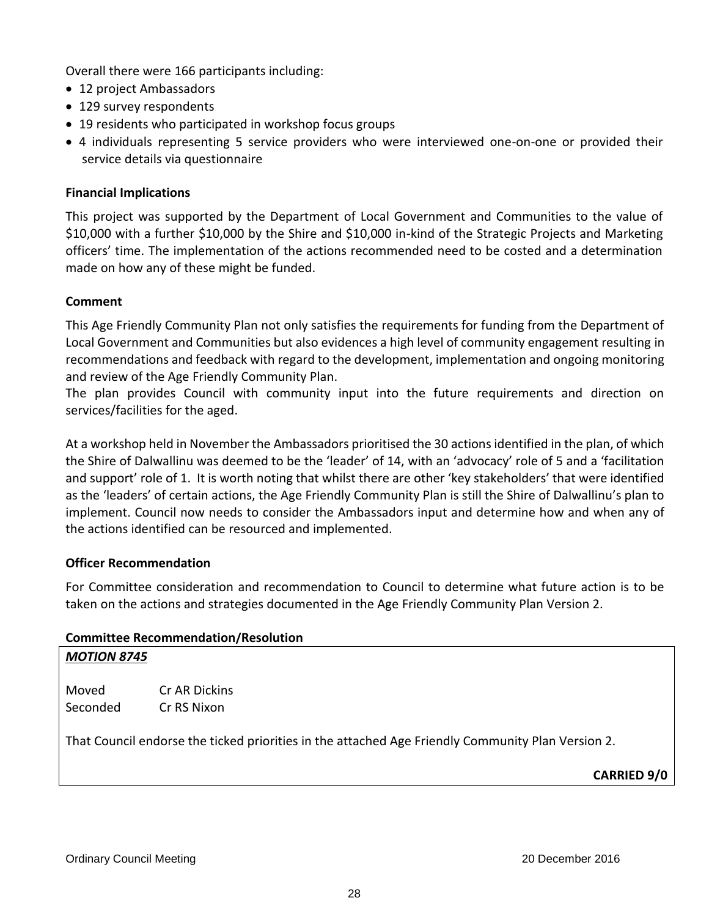Overall there were 166 participants including:

- 12 project Ambassadors
- 129 survey respondents
- 19 residents who participated in workshop focus groups
- 4 individuals representing 5 service providers who were interviewed one-on-one or provided their service details via questionnaire

## **Financial Implications**

This project was supported by the Department of Local Government and Communities to the value of \$10,000 with a further \$10,000 by the Shire and \$10,000 in-kind of the Strategic Projects and Marketing officers' time. The implementation of the actions recommended need to be costed and a determination made on how any of these might be funded.

## **Comment**

This Age Friendly Community Plan not only satisfies the requirements for funding from the Department of Local Government and Communities but also evidences a high level of community engagement resulting in recommendations and feedback with regard to the development, implementation and ongoing monitoring and review of the Age Friendly Community Plan.

The plan provides Council with community input into the future requirements and direction on services/facilities for the aged.

At a workshop held in November the Ambassadors prioritised the 30 actions identified in the plan, of which the Shire of Dalwallinu was deemed to be the 'leader' of 14, with an 'advocacy' role of 5 and a 'facilitation and support' role of 1. It is worth noting that whilst there are other 'key stakeholders' that were identified as the 'leaders' of certain actions, the Age Friendly Community Plan is still the Shire of Dalwallinu's plan to implement. Council now needs to consider the Ambassadors input and determine how and when any of the actions identified can be resourced and implemented.

### **Officer Recommendation**

*MOTION 8745*

For Committee consideration and recommendation to Council to determine what future action is to be taken on the actions and strategies documented in the Age Friendly Community Plan Version 2.

### **Committee Recommendation/Resolution**

| Moved    | Cr AR Dickins |
|----------|---------------|
| Seconded | Cr RS Nixon   |

That Council endorse the ticked priorities in the attached Age Friendly Community Plan Version 2.

**CARRIED 9/0**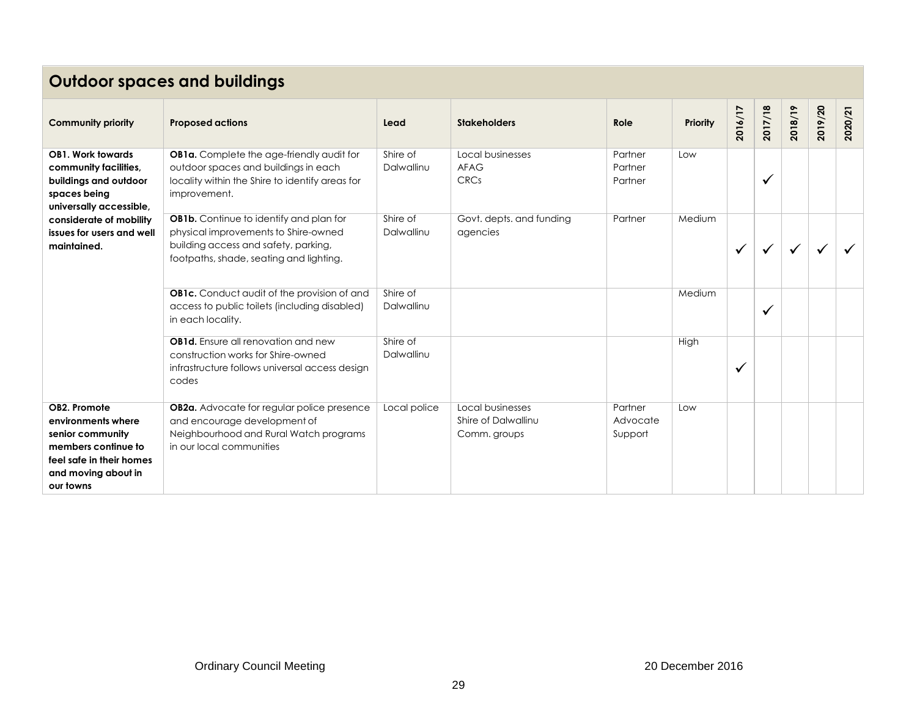# **Outdoor spaces and buildings**

| <b>Community priority</b>                                                                                                                     | <b>Proposed actions</b>                                                                                                                                                   | Lead                   | <b>Stakeholders</b>                                     | Role                           | <b>Priority</b> | 2016/17      | 2017/18      | 2018/19 | 2019/20 | 2020/21 |
|-----------------------------------------------------------------------------------------------------------------------------------------------|---------------------------------------------------------------------------------------------------------------------------------------------------------------------------|------------------------|---------------------------------------------------------|--------------------------------|-----------------|--------------|--------------|---------|---------|---------|
| <b>OB1. Work towards</b><br>community facilities,<br>buildings and outdoor<br>spaces being<br>universally accessible,                         | OB1a. Complete the age-friendly audit for<br>outdoor spaces and buildings in each<br>locality within the Shire to identify areas for<br>improvement.                      | Shire of<br>Dalwallinu | Local businesses<br>AFAG<br><b>CRCs</b>                 | Partner<br>Partner<br>Partner  | Low             |              | $\checkmark$ |         |         |         |
| considerate of mobility<br>issues for users and well<br>maintained.                                                                           | <b>OB1b.</b> Continue to identify and plan for<br>physical improvements to Shire-owned<br>building access and safety, parking,<br>footpaths, shade, seating and lighting. | Shire of<br>Dalwallinu | Govt. depts. and funding<br>agencies                    | Partner                        | Medium          | $\checkmark$ |              | ✓       |         |         |
|                                                                                                                                               | <b>OB1c.</b> Conduct audit of the provision of and<br>access to public toilets (including disabled)<br>in each locality.                                                  | Shire of<br>Dalwallinu |                                                         |                                | Medium          |              | $\checkmark$ |         |         |         |
|                                                                                                                                               | <b>OB1d.</b> Ensure all renovation and new<br>construction works for Shire-owned<br>infrastructure follows universal access design<br>codes                               | Shire of<br>Dalwallinu |                                                         |                                | High            | M            |              |         |         |         |
| OB2. Promote<br>environments where<br>senior community<br>members continue to<br>feel safe in their homes<br>and moving about in<br>our towns | OB2a. Advocate for regular police presence<br>and encourage development of<br>Neighbourhood and Rural Watch programs<br>in our local communities                          | Local police           | Local businesses<br>Shire of Dalwallinu<br>Comm. groups | Partner<br>Advocate<br>Support | Low             |              |              |         |         |         |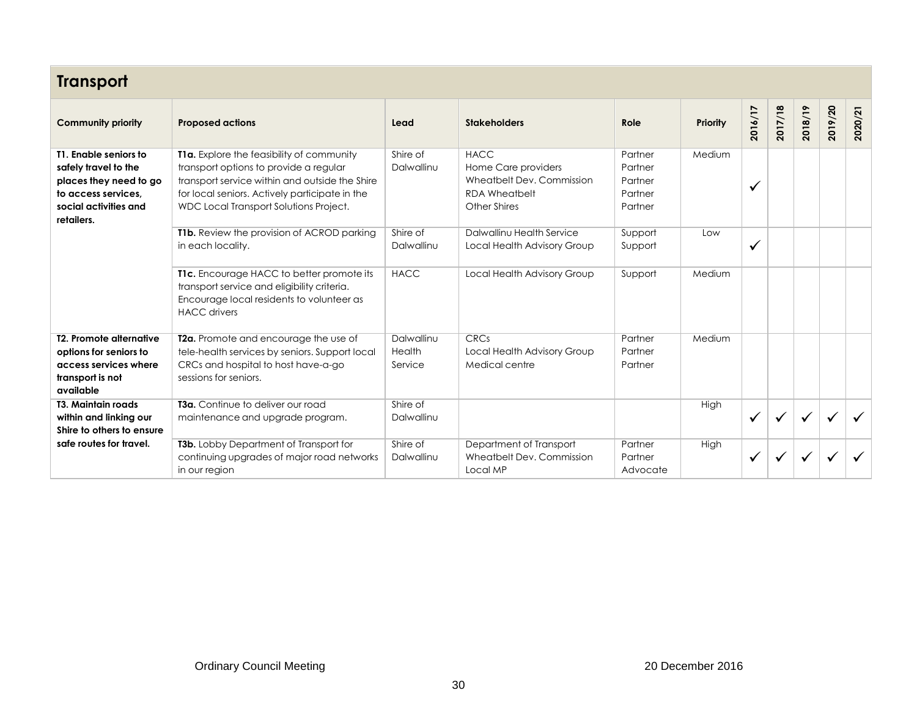| <b>Transport</b>                                                                                                                      |                                                                                                                                                                                                                                   |                                 |                                                                                                         |                                                     |          |              |              |         |              |         |  |
|---------------------------------------------------------------------------------------------------------------------------------------|-----------------------------------------------------------------------------------------------------------------------------------------------------------------------------------------------------------------------------------|---------------------------------|---------------------------------------------------------------------------------------------------------|-----------------------------------------------------|----------|--------------|--------------|---------|--------------|---------|--|
| <b>Community priority</b>                                                                                                             | <b>Proposed actions</b>                                                                                                                                                                                                           | Lead                            | <b>Stakeholders</b>                                                                                     | Role                                                | Priority | 2016/17      | 2017/18      | 2018/19 | 2019/20      | 2020/21 |  |
| T1. Enable seniors to<br>safely travel to the<br>places they need to go<br>to access services.<br>social activities and<br>retailers. | T1a. Explore the feasibility of community<br>transport options to provide a regular<br>transport service within and outside the Shire<br>for local seniors. Actively participate in the<br>WDC Local Transport Solutions Project. | Shire of<br>Dalwallinu          | <b>HACC</b><br>Home Care providers<br>Wheatbelt Dev. Commission<br><b>RDA Wheatbelt</b><br>Other Shires | Partner<br>Partner<br>Partner<br>Partner<br>Partner | Medium   | $\checkmark$ |              |         |              |         |  |
|                                                                                                                                       | <b>T1b.</b> Review the provision of ACROD parking<br>in each locality.                                                                                                                                                            | Shire of<br>Dalwallinu          | Dalwallinu Health Service<br>Local Health Advisory Group                                                | Support<br>Support                                  | Low      | $\checkmark$ |              |         |              |         |  |
|                                                                                                                                       | T1c. Encourage HACC to better promote its<br>transport service and eligibility criteria.<br>Encourage local residents to volunteer as<br><b>HACC</b> drivers                                                                      | <b>HACC</b>                     | Local Health Advisory Group                                                                             | Support                                             | Medium   |              |              |         |              |         |  |
| <b>T2. Promote alternative</b><br>options for seniors to<br>access services where<br>transport is not<br>available                    | T2a. Promote and encourage the use of<br>tele-health services by seniors. Support local<br>CRCs and hospital to host have-a-go<br>sessions for seniors.                                                                           | Dalwallinu<br>Health<br>Service | CRCs<br>Local Health Advisory Group<br>Medical centre                                                   | Partner<br>Partner<br>Partner                       | Medium   |              |              |         |              |         |  |
| <b>T3. Maintain roads</b><br>within and linking our<br>Shire to others to ensure                                                      | <b>T3a.</b> Continue to deliver our road<br>maintenance and upgrade program.                                                                                                                                                      | Shire of<br>Dalwallinu          |                                                                                                         |                                                     | High     | $\checkmark$ | $\checkmark$ | ✓       | $\checkmark$ |         |  |
| safe routes for travel.                                                                                                               | T3b. Lobby Department of Transport for<br>continuing upgrades of major road networks<br>in our region                                                                                                                             | Shire of<br>Dalwallinu          | Department of Transport<br>Wheatbelt Dev. Commission<br>Local MP                                        | Partner<br>Partner<br>Advocate                      | High     | $\checkmark$ |              |         |              |         |  |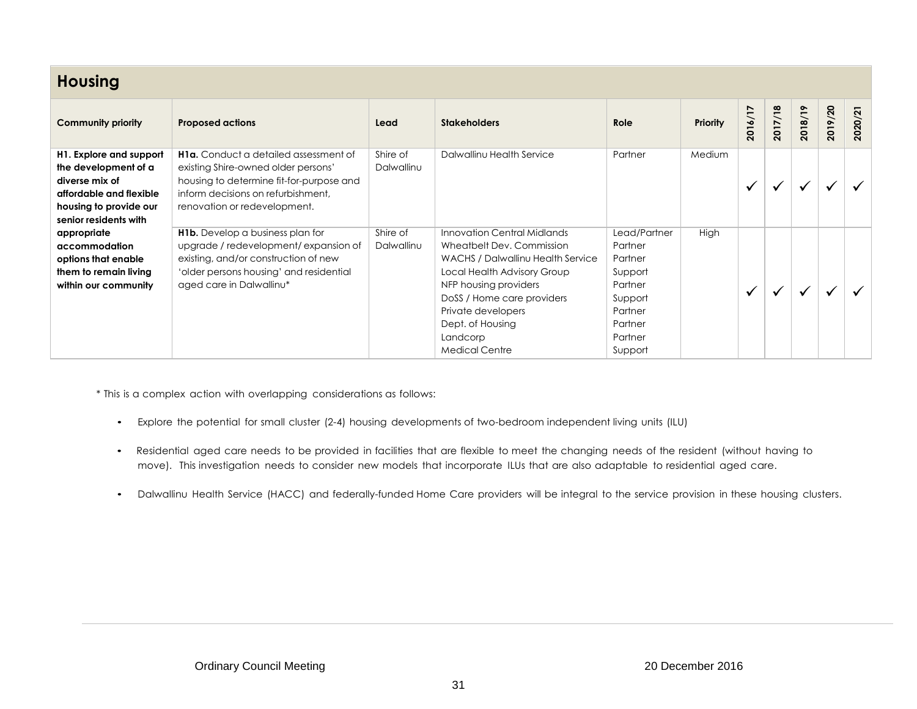| <b>Housing</b>                                                                                                                                  |                                                                                                                                                                                                       |                        |                                                                                                                                                                                                                                                                    |                                                                                                                 |                 |              |         |         |         |         |  |
|-------------------------------------------------------------------------------------------------------------------------------------------------|-------------------------------------------------------------------------------------------------------------------------------------------------------------------------------------------------------|------------------------|--------------------------------------------------------------------------------------------------------------------------------------------------------------------------------------------------------------------------------------------------------------------|-----------------------------------------------------------------------------------------------------------------|-----------------|--------------|---------|---------|---------|---------|--|
| <b>Community priority</b>                                                                                                                       | <b>Proposed actions</b>                                                                                                                                                                               | Lead                   | <b>Stakeholders</b>                                                                                                                                                                                                                                                | Role                                                                                                            | <b>Priority</b> | 2016/17      | 2017/18 | 2018/19 | 2019/20 | 2020/21 |  |
| H1. Explore and support<br>the development of a<br>diverse mix of<br>affordable and flexible<br>housing to provide our<br>senior residents with | <b>H1a.</b> Conduct a detailed assessment of<br>existing Shire-owned older persons'<br>housing to determine fit-for-purpose and<br>inform decisions on refurbishment.<br>renovation or redevelopment. | Shire of<br>Dalwallinu | Dalwallinu Health Service                                                                                                                                                                                                                                          | Partner                                                                                                         | Medium          | $\checkmark$ |         |         |         |         |  |
| appropriate<br>accommodation<br>options that enable<br>them to remain living<br>within our community                                            | <b>H1b.</b> Develop a business plan for<br>upgrade / redevelopment/expansion of<br>existing, and/or construction of new<br>'older persons housing' and residential<br>aged care in Dalwallinu*        | Shire of<br>Dalwallinu | Innovation Central Midlands<br>Wheatbelt Dev. Commission<br>WACHS / Dalwallinu Health Service<br>Local Health Advisory Group<br>NFP housing providers<br>DoSS / Home care providers<br>Private developers<br>Dept. of Housing<br>Landcorp<br><b>Medical Centre</b> | Lead/Partner<br>Partner<br>Partner<br>Support<br>Partner<br>Support<br>Partner<br>Partner<br>Partner<br>Support | High            | $\checkmark$ |         |         |         |         |  |

\* This is a complex action with overlapping considerations as follows:

- Explore the potential for small cluster (2-4) housing developments of two-bedroom independent living units (ILU)
- Residential aged care needs to be provided in facilities that are flexible to meet the changing needs of the resident (without having to move). This investigation needs to consider new models that incorporate ILUs that are also adaptable to residential aged care.
- Dalwallinu Health Service (HACC) and federally-funded Home Care providers will be integral to the service provision in these housing clusters.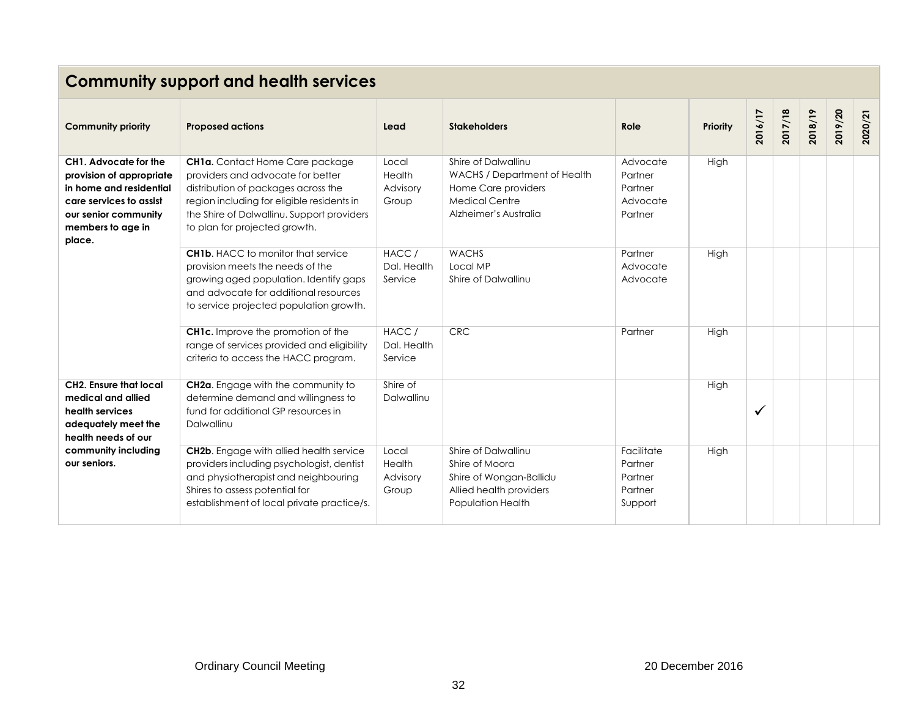|                                                                                                                                                                | <b>Community support and health services</b>                                                                                                                                                                                                    |                                      |                                                                                                                              |                                                        |          |              |         |         |         |         |  |  |  |
|----------------------------------------------------------------------------------------------------------------------------------------------------------------|-------------------------------------------------------------------------------------------------------------------------------------------------------------------------------------------------------------------------------------------------|--------------------------------------|------------------------------------------------------------------------------------------------------------------------------|--------------------------------------------------------|----------|--------------|---------|---------|---------|---------|--|--|--|
| <b>Community priority</b>                                                                                                                                      | <b>Proposed actions</b>                                                                                                                                                                                                                         | Lead                                 | <b>Stakeholders</b>                                                                                                          | Role                                                   | Priority | 2016/17      | 2017/18 | 2018/19 | 2019/20 | 2020/21 |  |  |  |
| CH1. Advocate for the<br>provision of appropriate<br>in home and residential<br>care services to assist<br>our senior community<br>members to age in<br>place. | <b>CH1a.</b> Contact Home Care package<br>providers and advocate for better<br>distribution of packages across the<br>region including for eligible residents in<br>the Shire of Dalwallinu. Support providers<br>to plan for projected growth. | Local<br>Health<br>Advisory<br>Group | Shire of Dalwallinu<br>WACHS / Department of Health<br>Home Care providers<br><b>Medical Centre</b><br>Alzheimer's Australia | Advocate<br>Partner<br>Partner<br>Advocate<br>Partner  | High     |              |         |         |         |         |  |  |  |
|                                                                                                                                                                | <b>CH1b.</b> HACC to monitor that service<br>provision meets the needs of the<br>growing aged population. Identify gaps<br>and advocate for additional resources<br>to service projected population growth.                                     | HACC /<br>Dal. Health<br>Service     | <b>WACHS</b><br>Local MP<br>Shire of Dalwallinu                                                                              | Partner<br>Advocate<br>Advocate                        | High     |              |         |         |         |         |  |  |  |
|                                                                                                                                                                | <b>CH1c.</b> Improve the promotion of the<br>range of services provided and eligibility<br>criteria to access the HACC program.                                                                                                                 | HACC/<br>Dal. Health<br>Service      | CRC                                                                                                                          | Partner                                                | High     |              |         |         |         |         |  |  |  |
| <b>CH2. Ensure that local</b><br>medical and allied<br>health services<br>adequately meet the<br>health needs of our                                           | CH2a. Engage with the community to<br>determine demand and willingness to<br>fund for additional GP resources in<br>Dalwallinu                                                                                                                  | Shire of<br>Dalwallinu               |                                                                                                                              |                                                        | High     | $\checkmark$ |         |         |         |         |  |  |  |
| community including<br>our seniors.                                                                                                                            | <b>CH2b.</b> Engage with allied health service<br>providers including psychologist, dentist<br>and physiotherapist and neighbouring<br>Shires to assess potential for<br>establishment of local private practice/s.                             | Local<br>Health<br>Advisory<br>Group | Shire of Dalwallinu<br>Shire of Moora<br>Shire of Wongan-Ballidu<br>Allied health providers<br>Population Health             | Facilitate<br>Partner<br>Partner<br>Partner<br>Support | High     |              |         |         |         |         |  |  |  |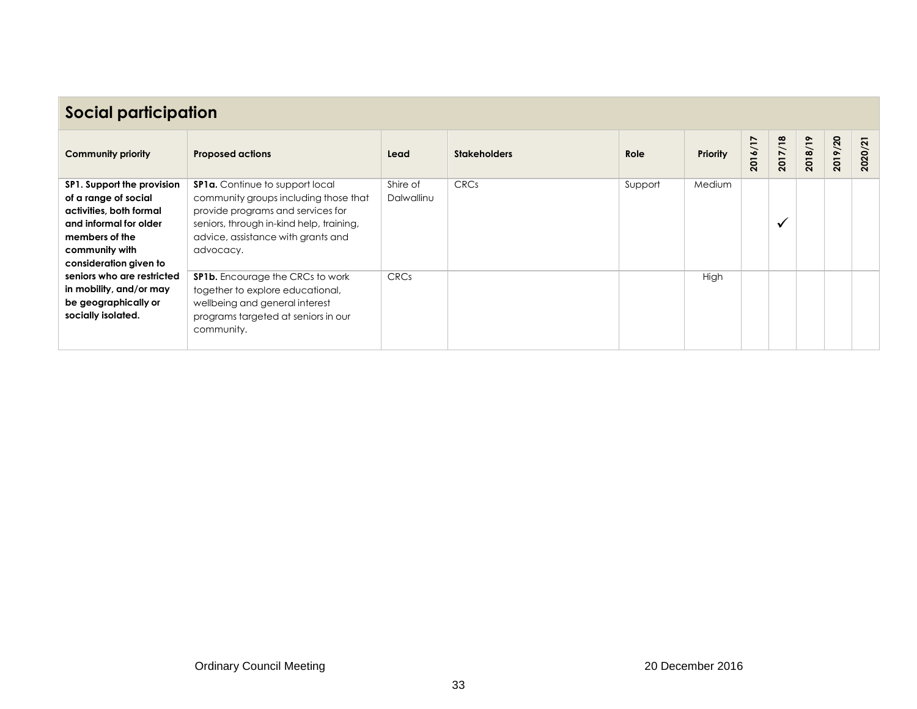| <b>Social participation</b>                                                                                                                                           |                                                                                                                                                                                                                     |                        |                     |         |                 |         |           |         |         |         |  |
|-----------------------------------------------------------------------------------------------------------------------------------------------------------------------|---------------------------------------------------------------------------------------------------------------------------------------------------------------------------------------------------------------------|------------------------|---------------------|---------|-----------------|---------|-----------|---------|---------|---------|--|
| <b>Community priority</b>                                                                                                                                             | <b>Proposed actions</b>                                                                                                                                                                                             | Lead                   | <b>Stakeholders</b> | Role    | <b>Priority</b> | 2016/17 | 2017/18   | 2018/19 | 2019/20 | 2020/21 |  |
| SP1. Support the provision<br>of a range of social<br>activities, both formal<br>and informal for older<br>members of the<br>community with<br>consideration given to | <b>SP1a.</b> Continue to support local<br>community groups including those that<br>provide programs and services for<br>seniors, through in-kind help, training,<br>advice, assistance with grants and<br>advocacy. | Shire of<br>Dalwallinu | <b>CRCs</b>         | Support | Medium          |         | $\bullet$ |         |         |         |  |
| seniors who are restricted<br>in mobility, and/or may<br>be geographically or<br>socially isolated.                                                                   | <b>SP1b.</b> Encourage the CRCs to work<br>together to explore educational,<br>wellbeing and general interest<br>programs targeted at seniors in our<br>community.                                                  | <b>CRCs</b>            |                     |         | High            |         |           |         |         |         |  |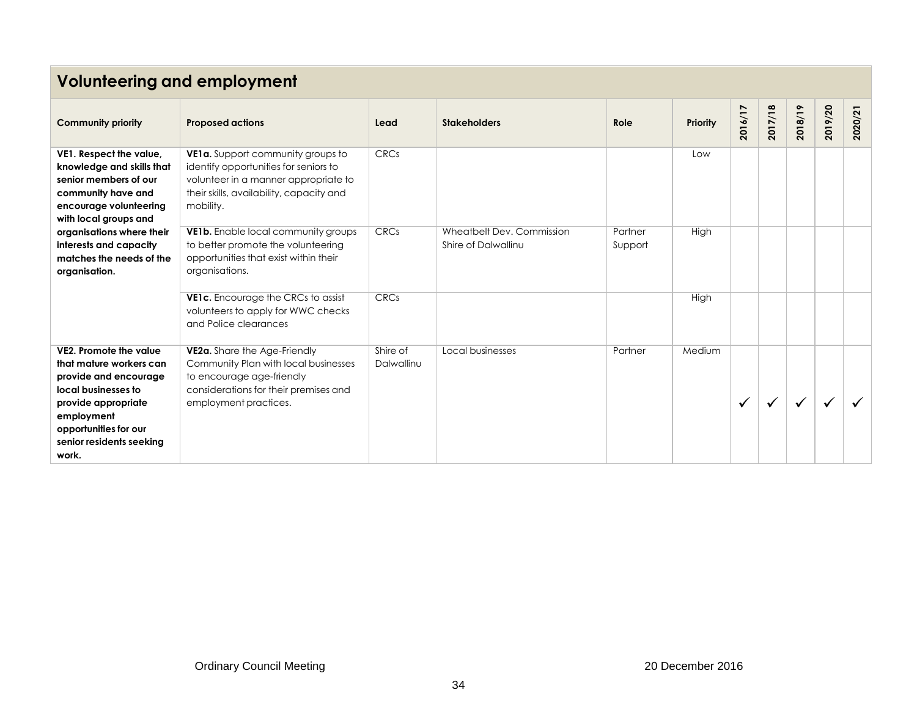# **Volunteering and employment**

| <b>Community priority</b>                                                                                                                                                                            | <b>Proposed actions</b>                                                                                                                                                     | Lead                   | <b>Stakeholders</b>                              | Role               | <b>Priority</b> | 2016/17      | 2017/18 | 2018/19 | 2019/20 | 2020/21 |
|------------------------------------------------------------------------------------------------------------------------------------------------------------------------------------------------------|-----------------------------------------------------------------------------------------------------------------------------------------------------------------------------|------------------------|--------------------------------------------------|--------------------|-----------------|--------------|---------|---------|---------|---------|
| VE1. Respect the value,<br>knowledge and skills that<br>senior members of our<br>community have and<br>encourage volunteering<br>with local groups and                                               | VE1a. Support community groups to<br>identify opportunities for seniors to<br>volunteer in a manner appropriate to<br>their skills, availability, capacity and<br>mobility. | <b>CRCs</b>            |                                                  |                    | Low             |              |         |         |         |         |
| organisations where their<br>interests and capacity<br>matches the needs of the<br>organisation.                                                                                                     | VE1b. Enable local community groups<br>to better promote the volunteering<br>opportunities that exist within their<br>organisations.                                        | <b>CRCs</b>            | Wheatbelt Dev. Commission<br>Shire of Dalwallinu | Partner<br>Support | High            |              |         |         |         |         |
|                                                                                                                                                                                                      | VE1c. Encourage the CRCs to assist<br>volunteers to apply for WWC checks<br>and Police clearances                                                                           | CRCs                   |                                                  |                    | High            |              |         |         |         |         |
| VE2. Promote the value<br>that mature workers can<br>provide and encourage<br>local businesses to<br>provide appropriate<br>employment<br>opportunities for our<br>senior residents seeking<br>work. | VE2a. Share the Age-Friendly<br>Community Plan with local businesses<br>to encourage age-friendly<br>considerations for their premises and<br>employment practices.         | Shire of<br>Dalwallinu | Local businesses                                 | Partner            | Medium          | $\checkmark$ |         |         |         |         |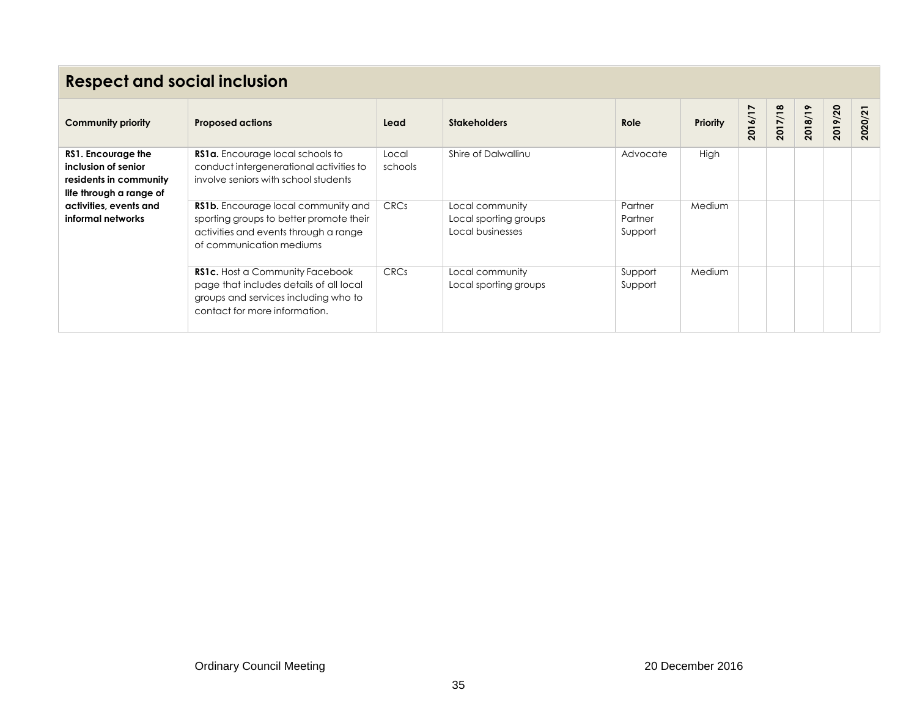# **Respect and social inclusion**

| <b>Community priority</b>                                                                      | <b>Proposed actions</b>                                                                                                                                    | Lead             | <b>Stakeholders</b>                                          | Role                          | <b>Priority</b> | 2016/17 | 2017/18 | 2018/19 | 2019/20 | 2020/21 |
|------------------------------------------------------------------------------------------------|------------------------------------------------------------------------------------------------------------------------------------------------------------|------------------|--------------------------------------------------------------|-------------------------------|-----------------|---------|---------|---------|---------|---------|
| RS1. Encourage the<br>inclusion of senior<br>residents in community<br>life through a range of | RS1a. Encourage local schools to<br>conduct intergenerational activities to<br>involve seniors with school students                                        | Local<br>schools | Shire of Dalwallinu                                          | Advocate                      | High            |         |         |         |         |         |
| activities, events and<br>informal networks                                                    | RS1b. Encourage local community and<br>sporting groups to better promote their<br>activities and events through a range<br>of communication mediums        | <b>CRCs</b>      | Local community<br>Local sporting groups<br>Local businesses | Partner<br>Partner<br>Support | <b>Medium</b>   |         |         |         |         |         |
|                                                                                                | <b>RS1c.</b> Host a Community Facebook<br>page that includes details of all local<br>groups and services including who to<br>contact for more information. | <b>CRCs</b>      | Local community<br>Local sporting groups                     | Support<br>Support            | <b>Medium</b>   |         |         |         |         |         |